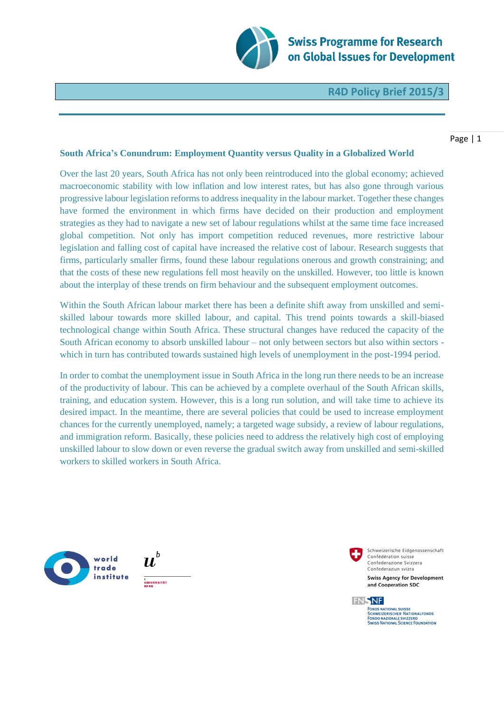

**Swiss Programme for Research** on Global Issues for Development

**R4D Policy Brief 2015/3** 

## Page | 1

## **South Africa's Conundrum: Employment Quantity versus Quality in a Globalized World**

Over the last 20 years, South Africa has not only been reintroduced into the global economy; achieved macroeconomic stability with low inflation and low interest rates, but has also gone through various progressive labour legislation reforms to address inequality in the labour market. Together these changes have formed the environment in which firms have decided on their production and employment strategies as they had to navigate a new set of labour regulations whilst at the same time face increased global competition. Not only has import competition reduced revenues, more restrictive labour legislation and falling cost of capital have increased the relative cost of labour. Research suggests that firms, particularly smaller firms, found these labour regulations onerous and growth constraining; and that the costs of these new regulations fell most heavily on the unskilled. However, too little is known about the interplay of these trends on firm behaviour and the subsequent employment outcomes.

Within the South African labour market there has been a definite shift away from unskilled and semiskilled labour towards more skilled labour, and capital. This trend points towards a skill-biased technological change within South Africa. These structural changes have reduced the capacity of the South African economy to absorb unskilled labour – not only between sectors but also within sectors which in turn has contributed towards sustained high levels of unemployment in the post-1994 period.

In order to combat the unemployment issue in South Africa in the long run there needs to be an increase of the productivity of labour. This can be achieved by a complete overhaul of the South African skills, training, and education system. However, this is a long run solution, and will take time to achieve its desired impact. In the meantime, there are several policies that could be used to increase employment chances for the currently unemployed, namely; a targeted wage subsidy, a review of labour regulations, and immigration reform. Basically, these policies need to address the relatively high cost of employing unskilled labour to slow down or even reverse the gradual switch away from unskilled and semi-skilled workers to skilled workers in South Africa.







FONDS NATIONAL SUISSE<br>SCHWEIZERISCHER NATIONALFONDS FONDO NAZIONALE SVIZZERO<br>SWISS NATIONAL SCIENCE FOUNDATION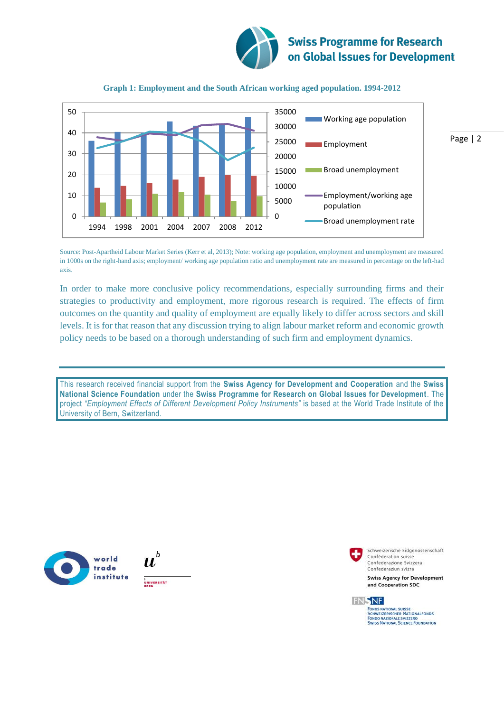



## **Graph 1: Employment and the South African working aged population. 1994-2012**

Source: Post-Apartheid Labour Market Series (Kerr et al, 2013); Note: working age population, employment and unemployment are measured in 1000s on the right-hand axis; employment/ working age population ratio and unemployment rate are measured in percentage on the left-had axis.

In order to make more conclusive policy recommendations, especially surrounding firms and their strategies to productivity and employment, more rigorous research is required. The effects of firm outcomes on the quantity and quality of employment are equally likely to differ across sectors and skill levels. It is for that reason that any discussion trying to align labour market reform and economic growth policy needs to be based on a thorough understanding of such firm and employment dynamics.

This research received financial support from the **Swiss Agency for Development and Cooperation** and the **Swiss National Science Foundation** under the **Swiss Programme for Research on Global Issues for Development**. The project *"Employment Effects of Different Development Policy Instruments"* is based at the World Trade Institute of the University of Bern, Switzerland.









FONDS NATIONAL SUISSE<br>SCHWEIZERISCHER NATIONALFONDS FONDO NAZIONALE SVIZZERO<br>SWISS NATIONAL SCIENCE FOUNDATION